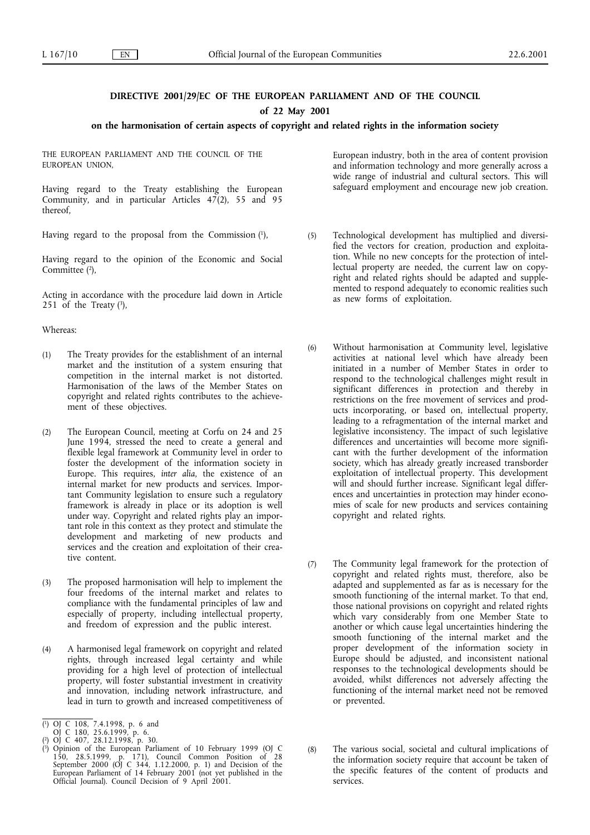# **DIRECTIVE 2001/29/EC OF THE EUROPEAN PARLIAMENT AND OF THE COUNCIL**

**of 22 May 2001**

### **on the harmonisation of certain aspects of copyright and related rights in the information society**

THE EUROPEAN PARLIAMENT AND THE COUNCIL OF THE EUROPEAN UNION,

Having regard to the Treaty establishing the European Community, and in particular Articles 47(2), 55 and 95 thereof,

Having regard to the proposal from the Commission (1),

Having regard to the opinion of the Economic and Social Committee  $(2)$ ,

Acting in accordance with the procedure laid down in Article 251 of the Treaty  $(3)$ ,

### Whereas:

- (1) The Treaty provides for the establishment of an internal market and the institution of a system ensuring that competition in the internal market is not distorted. Harmonisation of the laws of the Member States on copyright and related rights contributes to the achievement of these objectives.
- (2) The European Council, meeting at Corfu on 24 and 25 June 1994, stressed the need to create a general and flexible legal framework at Community level in order to foster the development of the information society in Europe. This requires, *inter alia*, the existence of an internal market for new products and services. Important Community legislation to ensure such a regulatory framework is already in place or its adoption is well under way. Copyright and related rights play an important role in this context as they protect and stimulate the development and marketing of new products and services and the creation and exploitation of their creative content.
- (3) The proposed harmonisation will help to implement the four freedoms of the internal market and relates to compliance with the fundamental principles of law and especially of property, including intellectual property, and freedom of expression and the public interest.
- (4) A harmonised legal framework on copyright and related rights, through increased legal certainty and while providing for a high level of protection of intellectual property, will foster substantial investment in creativity and innovation, including network infrastructure, and lead in turn to growth and increased competitiveness of

European industry, both in the area of content provision and information technology and more generally across a wide range of industrial and cultural sectors. This will safeguard employment and encourage new job creation.

- (5) Technological development has multiplied and diversified the vectors for creation, production and exploitation. While no new concepts for the protection of intellectual property are needed, the current law on copyright and related rights should be adapted and supplemented to respond adequately to economic realities such as new forms of exploitation.
- (6) Without harmonisation at Community level, legislative activities at national level which have already been initiated in a number of Member States in order to respond to the technological challenges might result in significant differences in protection and thereby in restrictions on the free movement of services and products incorporating, or based on, intellectual property, leading to a refragmentation of the internal market and legislative inconsistency. The impact of such legislative differences and uncertainties will become more significant with the further development of the information society, which has already greatly increased transborder exploitation of intellectual property. This development will and should further increase. Significant legal differences and uncertainties in protection may hinder economies of scale for new products and services containing copyright and related rights.
- (7) The Community legal framework for the protection of copyright and related rights must, therefore, also be adapted and supplemented as far as is necessary for the smooth functioning of the internal market. To that end, those national provisions on copyright and related rights which vary considerably from one Member State to another or which cause legal uncertainties hindering the smooth functioning of the internal market and the proper development of the information society in Europe should be adjusted, and inconsistent national responses to the technological developments should be avoided, whilst differences not adversely affecting the functioning of the internal market need not be removed or prevented.
- (8) The various social, societal and cultural implications of the information society require that account be taken of the specific features of the content of products and services.

<sup>(</sup> 1) OJ C 108, 7.4.1998, p. 6 and

OJ C 180, 25.6.1999, p. 6.

<sup>(</sup> 2) OJ C 407, 28.12.1998, p. 30.

<sup>(</sup> 3) Opinion of the European Parliament of 10 February 1999 (OJ C 150, 28.5.1999, p. 171), Council Common Position of 28 September 2000 (OJ C 344, 1.12.2000, p. 1) and Decision of the European Parliament of 14 February 2001 (not yet published in the Official Journal). Council Decision of 9 April 2001.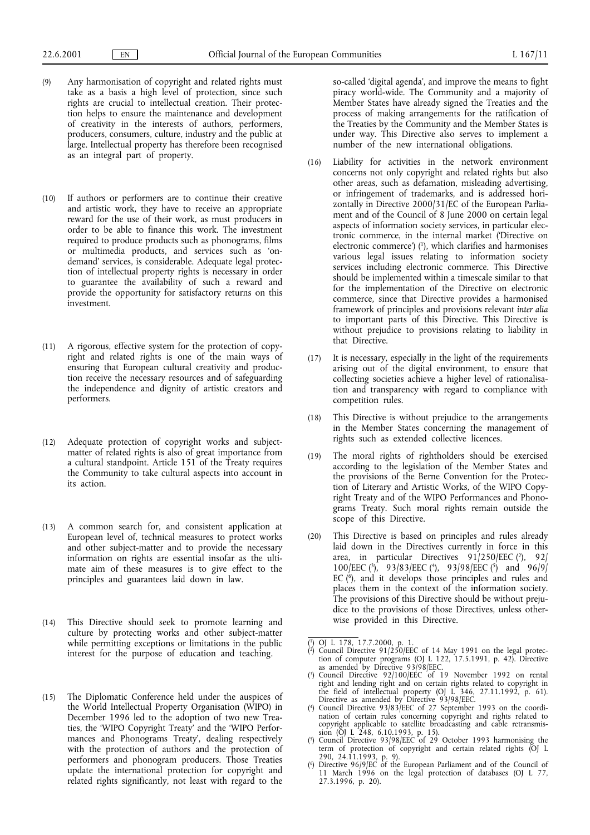- (9) Any harmonisation of copyright and related rights must take as a basis a high level of protection, since such rights are crucial to intellectual creation. Their protection helps to ensure the maintenance and development of creativity in the interests of authors, performers, producers, consumers, culture, industry and the public at large. Intellectual property has therefore been recognised as an integral part of property.
- (10) If authors or performers are to continue their creative and artistic work, they have to receive an appropriate reward for the use of their work, as must producers in order to be able to finance this work. The investment required to produce products such as phonograms, films or multimedia products, and services such as 'ondemand' services, is considerable. Adequate legal protection of intellectual property rights is necessary in order to guarantee the availability of such a reward and provide the opportunity for satisfactory returns on this investment.
- (11) A rigorous, effective system for the protection of copyright and related rights is one of the main ways of ensuring that European cultural creativity and production receive the necessary resources and of safeguarding the independence and dignity of artistic creators and performers.
- (12) Adequate protection of copyright works and subjectmatter of related rights is also of great importance from a cultural standpoint. Article 151 of the Treaty requires the Community to take cultural aspects into account in its action.
- (13) A common search for, and consistent application at European level of, technical measures to protect works and other subject-matter and to provide the necessary information on rights are essential insofar as the ultimate aim of these measures is to give effect to the principles and guarantees laid down in law.
- (14) This Directive should seek to promote learning and culture by protecting works and other subject-matter while permitting exceptions or limitations in the public interest for the purpose of education and teaching.
- (15) The Diplomatic Conference held under the auspices of the World Intellectual Property Organisation (WIPO) in December 1996 led to the adoption of two new Treaties, the 'WIPO Copyright Treaty' and the 'WIPO Performances and Phonograms Treaty', dealing respectively with the protection of authors and the protection of performers and phonogram producers. Those Treaties update the international protection for copyright and related rights significantly, not least with regard to the

so-called 'digital agenda', and improve the means to fight piracy world-wide. The Community and a majority of Member States have already signed the Treaties and the process of making arrangements for the ratification of the Treaties by the Community and the Member States is under way. This Directive also serves to implement a number of the new international obligations.

- (16) Liability for activities in the network environment concerns not only copyright and related rights but also other areas, such as defamation, misleading advertising, or infringement of trademarks, and is addressed horizontally in Directive 2000/31/EC of the European Parliament and of the Council of 8 June 2000 on certain legal aspects of information society services, in particular electronic commerce, in the internal market ('Directive on electronic commerce') (1), which clarifies and harmonises various legal issues relating to information society services including electronic commerce. This Directive should be implemented within a timescale similar to that for the implementation of the Directive on electronic commerce, since that Directive provides a harmonised framework of principles and provisions relevant *inter alia* to important parts of this Directive. This Directive is without prejudice to provisions relating to liability in that Directive.
- (17) It is necessary, especially in the light of the requirements arising out of the digital environment, to ensure that collecting societies achieve a higher level of rationalisation and transparency with regard to compliance with competition rules.
- (18) This Directive is without prejudice to the arrangements in the Member States concerning the management of rights such as extended collective licences.
- (19) The moral rights of rightholders should be exercised according to the legislation of the Member States and the provisions of the Berne Convention for the Protection of Literary and Artistic Works, of the WIPO Copyright Treaty and of the WIPO Performances and Phonograms Treaty. Such moral rights remain outside the scope of this Directive.
- (20) This Directive is based on principles and rules already laid down in the Directives currently in force in this area, in particular Directives  $91/250/EEC$  (2),  $92/$ 100/EEC  $(3)$ , 93/83/EEC  $(4)$ , 93/98/EEC  $(5)$  and 96/9/ EC (6), and it develops those principles and rules and places them in the context of the information society. The provisions of this Directive should be without prejudice to the provisions of those Directives, unless otherwise provided in this Directive.

- ( 2) Council Directive 91/250/EEC of 14 May 1991 on the legal protection of computer programs (OJ L 122, 17.5.1991, p. 42). Directive as amended by Directive 93/98/EEC.
- ( 3) Council Directive 92/100/EEC of 19 November 1992 on rental right and lending right and on certain rights related to copyright in the field of intellectual property (OJ L 346, 27.11.1992, p. 61). Directive as amended by Directive 93/98/EEC.
- ( 4) Council Directive 93/83/EEC of 27 September 1993 on the coordination of certain rules concerning copyright and rights related to copyright applicable to satellite broadcasting and cable retransmission (OJ L 248, 6.10.1993, p. 15).
- ( 5) Council Directive 93/98/EEC of 29 October 1993 harmonising the term of protection of copyright and certain related rights (OJ L 290, 24.11.1993, p. 9).
- ( 6) Directive 96/9/EC of the European Parliament and of the Council of 11 March 1996 on the legal protection of databases (OJ L 77, 27.3.1996, p. 20).

<sup>(</sup> 1) OJ L 178, 17.7.2000, p. 1.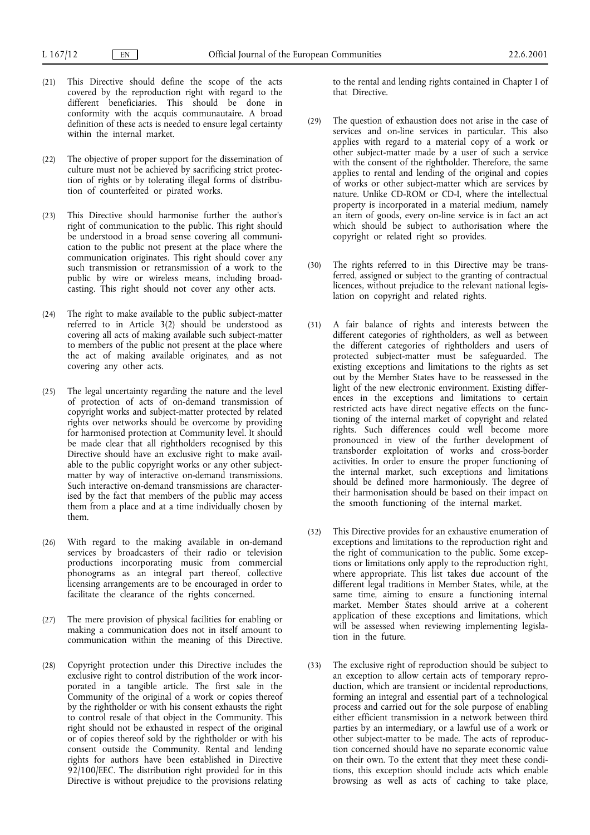- (21) This Directive should define the scope of the acts covered by the reproduction right with regard to the different beneficiaries. This should be done in conformity with the acquis communautaire. A broad definition of these acts is needed to ensure legal certainty within the internal market.
- (22) The objective of proper support for the dissemination of culture must not be achieved by sacrificing strict protection of rights or by tolerating illegal forms of distribution of counterfeited or pirated works.
- (23) This Directive should harmonise further the author's right of communication to the public. This right should be understood in a broad sense covering all communication to the public not present at the place where the communication originates. This right should cover any such transmission or retransmission of a work to the public by wire or wireless means, including broadcasting. This right should not cover any other acts.
- (24) The right to make available to the public subject-matter referred to in Article 3(2) should be understood as covering all acts of making available such subject-matter to members of the public not present at the place where the act of making available originates, and as not covering any other acts.
- (25) The legal uncertainty regarding the nature and the level of protection of acts of on-demand transmission of copyright works and subject-matter protected by related rights over networks should be overcome by providing for harmonised protection at Community level. It should be made clear that all rightholders recognised by this Directive should have an exclusive right to make available to the public copyright works or any other subjectmatter by way of interactive on-demand transmissions. Such interactive on-demand transmissions are characterised by the fact that members of the public may access them from a place and at a time individually chosen by them.
- (26) With regard to the making available in on-demand services by broadcasters of their radio or television productions incorporating music from commercial phonograms as an integral part thereof, collective licensing arrangements are to be encouraged in order to facilitate the clearance of the rights concerned.
- (27) The mere provision of physical facilities for enabling or making a communication does not in itself amount to communication within the meaning of this Directive.
- (28) Copyright protection under this Directive includes the exclusive right to control distribution of the work incorporated in a tangible article. The first sale in the Community of the original of a work or copies thereof by the rightholder or with his consent exhausts the right to control resale of that object in the Community. This right should not be exhausted in respect of the original or of copies thereof sold by the rightholder or with his consent outside the Community. Rental and lending rights for authors have been established in Directive 92/100/EEC. The distribution right provided for in this Directive is without prejudice to the provisions relating

to the rental and lending rights contained in Chapter I of that Directive.

- (29) The question of exhaustion does not arise in the case of services and on-line services in particular. This also applies with regard to a material copy of a work or other subject-matter made by a user of such a service with the consent of the rightholder. Therefore, the same applies to rental and lending of the original and copies of works or other subject-matter which are services by nature. Unlike CD-ROM or CD-I, where the intellectual property is incorporated in a material medium, namely an item of goods, every on-line service is in fact an act which should be subject to authorisation where the copyright or related right so provides.
- (30) The rights referred to in this Directive may be transferred, assigned or subject to the granting of contractual licences, without prejudice to the relevant national legislation on copyright and related rights.
- (31) A fair balance of rights and interests between the different categories of rightholders, as well as between the different categories of rightholders and users of protected subject-matter must be safeguarded. The existing exceptions and limitations to the rights as set out by the Member States have to be reassessed in the light of the new electronic environment. Existing differences in the exceptions and limitations to certain restricted acts have direct negative effects on the functioning of the internal market of copyright and related rights. Such differences could well become more pronounced in view of the further development of transborder exploitation of works and cross-border activities. In order to ensure the proper functioning of the internal market, such exceptions and limitations should be defined more harmoniously. The degree of their harmonisation should be based on their impact on the smooth functioning of the internal market.
- (32) This Directive provides for an exhaustive enumeration of exceptions and limitations to the reproduction right and the right of communication to the public. Some exceptions or limitations only apply to the reproduction right, where appropriate. This list takes due account of the different legal traditions in Member States, while, at the same time, aiming to ensure a functioning internal market. Member States should arrive at a coherent application of these exceptions and limitations, which will be assessed when reviewing implementing legislation in the future.
- (33) The exclusive right of reproduction should be subject to an exception to allow certain acts of temporary reproduction, which are transient or incidental reproductions, forming an integral and essential part of a technological process and carried out for the sole purpose of enabling either efficient transmission in a network between third parties by an intermediary, or a lawful use of a work or other subject-matter to be made. The acts of reproduction concerned should have no separate economic value on their own. To the extent that they meet these conditions, this exception should include acts which enable browsing as well as acts of caching to take place,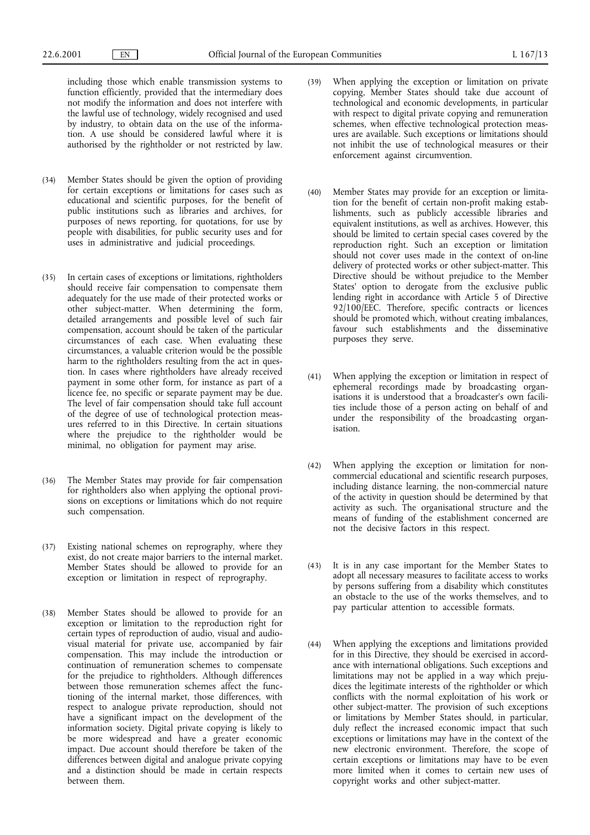including those which enable transmission systems to function efficiently, provided that the intermediary does not modify the information and does not interfere with the lawful use of technology, widely recognised and used by industry, to obtain data on the use of the information. A use should be considered lawful where it is authorised by the rightholder or not restricted by law.

- (34) Member States should be given the option of providing for certain exceptions or limitations for cases such as educational and scientific purposes, for the benefit of public institutions such as libraries and archives, for purposes of news reporting, for quotations, for use by people with disabilities, for public security uses and for uses in administrative and judicial proceedings.
- (35) In certain cases of exceptions or limitations, rightholders should receive fair compensation to compensate them adequately for the use made of their protected works or other subject-matter. When determining the form, detailed arrangements and possible level of such fair compensation, account should be taken of the particular circumstances of each case. When evaluating these circumstances, a valuable criterion would be the possible harm to the rightholders resulting from the act in question. In cases where rightholders have already received payment in some other form, for instance as part of a licence fee, no specific or separate payment may be due. The level of fair compensation should take full account of the degree of use of technological protection measures referred to in this Directive. In certain situations where the prejudice to the rightholder would be minimal, no obligation for payment may arise.
- (36) The Member States may provide for fair compensation for rightholders also when applying the optional provisions on exceptions or limitations which do not require such compensation.
- (37) Existing national schemes on reprography, where they exist, do not create major barriers to the internal market. Member States should be allowed to provide for an exception or limitation in respect of reprography.
- (38) Member States should be allowed to provide for an exception or limitation to the reproduction right for certain types of reproduction of audio, visual and audiovisual material for private use, accompanied by fair compensation. This may include the introduction or continuation of remuneration schemes to compensate for the prejudice to rightholders. Although differences between those remuneration schemes affect the functioning of the internal market, those differences, with respect to analogue private reproduction, should not have a significant impact on the development of the information society. Digital private copying is likely to be more widespread and have a greater economic impact. Due account should therefore be taken of the differences between digital and analogue private copying and a distinction should be made in certain respects between them.
- (39) When applying the exception or limitation on private copying, Member States should take due account of technological and economic developments, in particular with respect to digital private copying and remuneration schemes, when effective technological protection measures are available. Such exceptions or limitations should not inhibit the use of technological measures or their enforcement against circumvention.
- (40) Member States may provide for an exception or limitation for the benefit of certain non-profit making establishments, such as publicly accessible libraries and equivalent institutions, as well as archives. However, this should be limited to certain special cases covered by the reproduction right. Such an exception or limitation should not cover uses made in the context of on-line delivery of protected works or other subject-matter. This Directive should be without prejudice to the Member States' option to derogate from the exclusive public lending right in accordance with Article 5 of Directive 92/100/EEC. Therefore, specific contracts or licences should be promoted which, without creating imbalances, favour such establishments and the disseminative purposes they serve.
- (41) When applying the exception or limitation in respect of ephemeral recordings made by broadcasting organisations it is understood that a broadcaster's own facilities include those of a person acting on behalf of and under the responsibility of the broadcasting organisation.
- (42) When applying the exception or limitation for noncommercial educational and scientific research purposes, including distance learning, the non-commercial nature of the activity in question should be determined by that activity as such. The organisational structure and the means of funding of the establishment concerned are not the decisive factors in this respect.
- (43) It is in any case important for the Member States to adopt all necessary measures to facilitate access to works by persons suffering from a disability which constitutes an obstacle to the use of the works themselves, and to pay particular attention to accessible formats.
- (44) When applying the exceptions and limitations provided for in this Directive, they should be exercised in accordance with international obligations. Such exceptions and limitations may not be applied in a way which prejudices the legitimate interests of the rightholder or which conflicts with the normal exploitation of his work or other subject-matter. The provision of such exceptions or limitations by Member States should, in particular, duly reflect the increased economic impact that such exceptions or limitations may have in the context of the new electronic environment. Therefore, the scope of certain exceptions or limitations may have to be even more limited when it comes to certain new uses of copyright works and other subject-matter.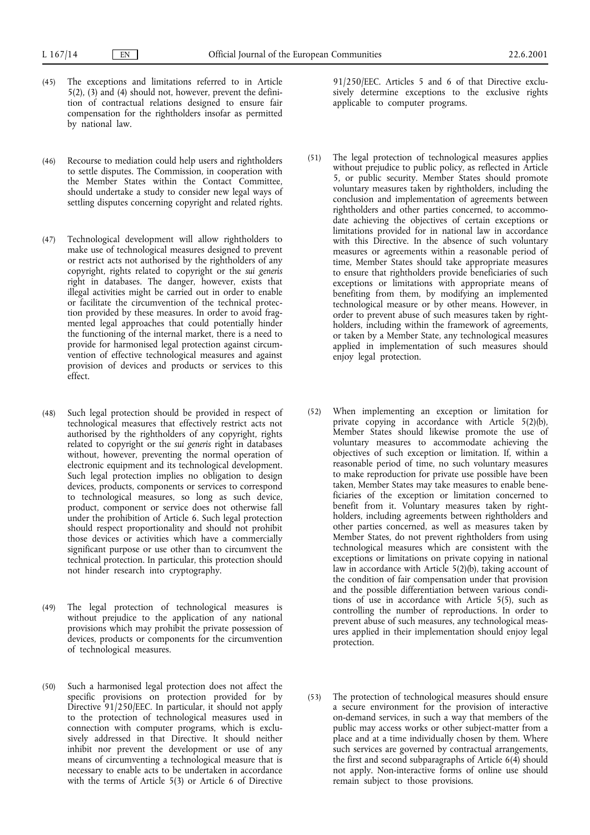- (45) The exceptions and limitations referred to in Article 5(2), (3) and (4) should not, however, prevent the definition of contractual relations designed to ensure fair compensation for the rightholders insofar as permitted by national law.
- (46) Recourse to mediation could help users and rightholders to settle disputes. The Commission, in cooperation with the Member States within the Contact Committee, should undertake a study to consider new legal ways of settling disputes concerning copyright and related rights.
- (47) Technological development will allow rightholders to make use of technological measures designed to prevent or restrict acts not authorised by the rightholders of any copyright, rights related to copyright or the *sui generis* right in databases. The danger, however, exists that illegal activities might be carried out in order to enable or facilitate the circumvention of the technical protection provided by these measures. In order to avoid fragmented legal approaches that could potentially hinder the functioning of the internal market, there is a need to provide for harmonised legal protection against circumvention of effective technological measures and against provision of devices and products or services to this effect.
- (48) Such legal protection should be provided in respect of technological measures that effectively restrict acts not authorised by the rightholders of any copyright, rights related to copyright or the *sui generis* right in databases without, however, preventing the normal operation of electronic equipment and its technological development. Such legal protection implies no obligation to design devices, products, components or services to correspond to technological measures, so long as such device, product, component or service does not otherwise fall under the prohibition of Article 6. Such legal protection should respect proportionality and should not prohibit those devices or activities which have a commercially significant purpose or use other than to circumvent the technical protection. In particular, this protection should not hinder research into cryptography.
- (49) The legal protection of technological measures is without prejudice to the application of any national provisions which may prohibit the private possession of devices, products or components for the circumvention of technological measures.
- (50) Such a harmonised legal protection does not affect the specific provisions on protection provided for by Directive 91/250/EEC. In particular, it should not apply to the protection of technological measures used in connection with computer programs, which is exclusively addressed in that Directive. It should neither inhibit nor prevent the development or use of any means of circumventing a technological measure that is necessary to enable acts to be undertaken in accordance with the terms of Article 5(3) or Article 6 of Directive

91/250/EEC. Articles 5 and 6 of that Directive exclusively determine exceptions to the exclusive rights applicable to computer programs.

- (51) The legal protection of technological measures applies without prejudice to public policy, as reflected in Article 5, or public security. Member States should promote voluntary measures taken by rightholders, including the conclusion and implementation of agreements between rightholders and other parties concerned, to accommodate achieving the objectives of certain exceptions or limitations provided for in national law in accordance with this Directive. In the absence of such voluntary measures or agreements within a reasonable period of time, Member States should take appropriate measures to ensure that rightholders provide beneficiaries of such exceptions or limitations with appropriate means of benefiting from them, by modifying an implemented technological measure or by other means. However, in order to prevent abuse of such measures taken by rightholders, including within the framework of agreements, or taken by a Member State, any technological measures applied in implementation of such measures should enjoy legal protection.
- (52) When implementing an exception or limitation for private copying in accordance with Article 5(2)(b), Member States should likewise promote the use of voluntary measures to accommodate achieving the objectives of such exception or limitation. If, within a reasonable period of time, no such voluntary measures to make reproduction for private use possible have been taken, Member States may take measures to enable beneficiaries of the exception or limitation concerned to benefit from it. Voluntary measures taken by rightholders, including agreements between rightholders and other parties concerned, as well as measures taken by Member States, do not prevent rightholders from using technological measures which are consistent with the exceptions or limitations on private copying in national law in accordance with Article 5(2)(b), taking account of the condition of fair compensation under that provision and the possible differentiation between various conditions of use in accordance with Article 5(5), such as controlling the number of reproductions. In order to prevent abuse of such measures, any technological measures applied in their implementation should enjoy legal protection.
- (53) The protection of technological measures should ensure a secure environment for the provision of interactive on-demand services, in such a way that members of the public may access works or other subject-matter from a place and at a time individually chosen by them. Where such services are governed by contractual arrangements, the first and second subparagraphs of Article 6(4) should not apply. Non-interactive forms of online use should remain subject to those provisions.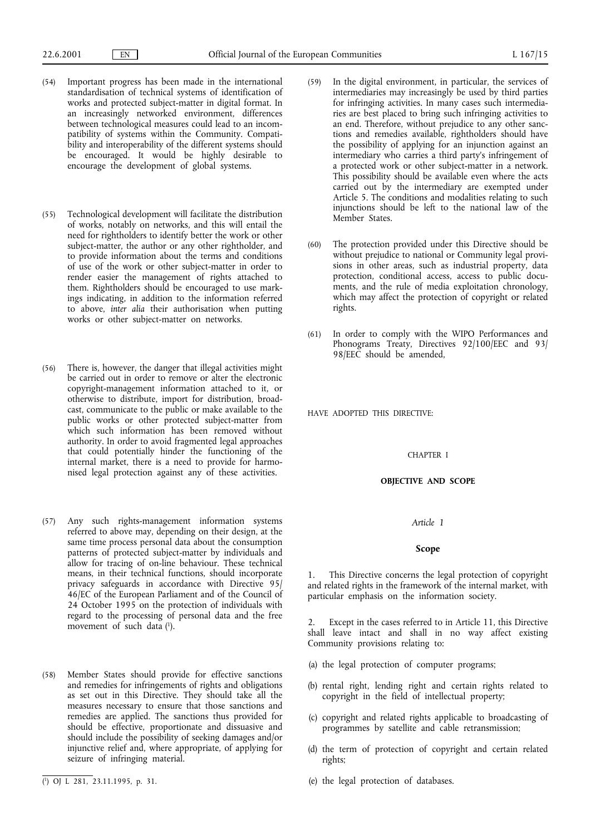- (54) Important progress has been made in the international standardisation of technical systems of identification of works and protected subject-matter in digital format. In an increasingly networked environment, differences between technological measures could lead to an incompatibility of systems within the Community. Compatibility and interoperability of the different systems should be encouraged. It would be highly desirable to encourage the development of global systems.
- (55) Technological development will facilitate the distribution of works, notably on networks, and this will entail the need for rightholders to identify better the work or other subject-matter, the author or any other rightholder, and to provide information about the terms and conditions of use of the work or other subject-matter in order to render easier the management of rights attached to them. Rightholders should be encouraged to use markings indicating, in addition to the information referred to above, *inter alia* their authorisation when putting works or other subject-matter on networks.
- (56) There is, however, the danger that illegal activities might be carried out in order to remove or alter the electronic copyright-management information attached to it, or otherwise to distribute, import for distribution, broadcast, communicate to the public or make available to the public works or other protected subject-matter from which such information has been removed without authority. In order to avoid fragmented legal approaches that could potentially hinder the functioning of the internal market, there is a need to provide for harmonised legal protection against any of these activities.
- (57) Any such rights-management information systems referred to above may, depending on their design, at the same time process personal data about the consumption patterns of protected subject-matter by individuals and allow for tracing of on-line behaviour. These technical means, in their technical functions, should incorporate privacy safeguards in accordance with Directive 95/ 46/EC of the European Parliament and of the Council of 24 October 1995 on the protection of individuals with regard to the processing of personal data and the free movement of such data (1).
- (58) Member States should provide for effective sanctions and remedies for infringements of rights and obligations as set out in this Directive. They should take all the measures necessary to ensure that those sanctions and remedies are applied. The sanctions thus provided for should be effective, proportionate and dissuasive and should include the possibility of seeking damages and/or injunctive relief and, where appropriate, of applying for seizure of infringing material.
- (59) In the digital environment, in particular, the services of intermediaries may increasingly be used by third parties for infringing activities. In many cases such intermediaries are best placed to bring such infringing activities to an end. Therefore, without prejudice to any other sanctions and remedies available, rightholders should have the possibility of applying for an injunction against an intermediary who carries a third party's infringement of a protected work or other subject-matter in a network. This possibility should be available even where the acts carried out by the intermediary are exempted under Article 5. The conditions and modalities relating to such injunctions should be left to the national law of the Member States.
- (60) The protection provided under this Directive should be without prejudice to national or Community legal provisions in other areas, such as industrial property, data protection, conditional access, access to public documents, and the rule of media exploitation chronology, which may affect the protection of copyright or related rights.
- (61) In order to comply with the WIPO Performances and Phonograms Treaty, Directives 92/100/EEC and 93/ 98/EEC should be amended,

HAVE ADOPTED THIS DIRECTIVE:

### CHAPTER<sub>I</sub>

#### **OBJECTIVE AND SCOPE**

#### *Article 1*

#### **Scope**

This Directive concerns the legal protection of copyright and related rights in the framework of the internal market, with particular emphasis on the information society.

Except in the cases referred to in Article 11, this Directive shall leave intact and shall in no way affect existing Community provisions relating to:

- (a) the legal protection of computer programs;
- (b) rental right, lending right and certain rights related to copyright in the field of intellectual property;
- (c) copyright and related rights applicable to broadcasting of programmes by satellite and cable retransmission;
- (d) the term of protection of copyright and certain related rights;
- (a) OJ L 281, 23.11.1995, p. 31. (e) the legal protection of databases.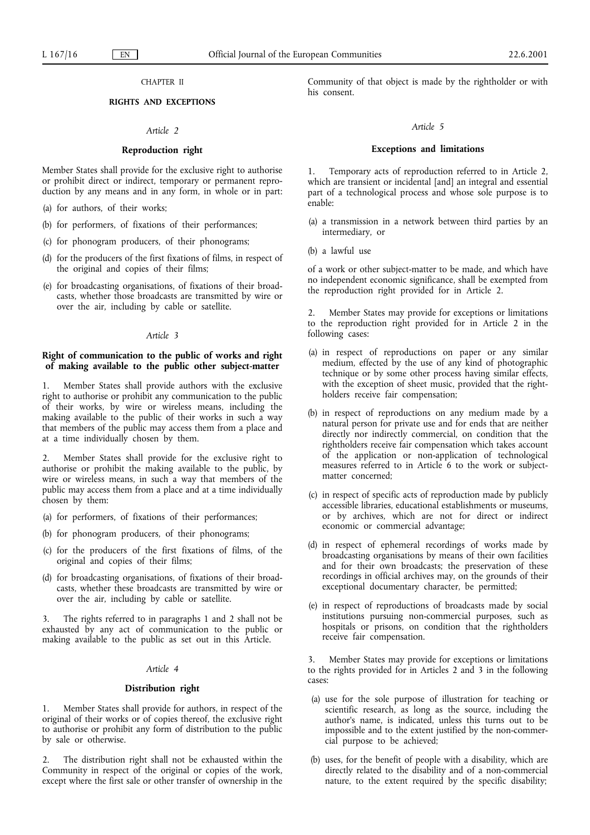# CHAPTER II

# **RIGHTS AND EXCEPTIONS**

#### *Article 2*

### **Reproduction right**

Member States shall provide for the exclusive right to authorise or prohibit direct or indirect, temporary or permanent reproduction by any means and in any form, in whole or in part:

- (a) for authors, of their works;
- (b) for performers, of fixations of their performances;
- (c) for phonogram producers, of their phonograms;
- (d) for the producers of the first fixations of films, in respect of the original and copies of their films;
- (e) for broadcasting organisations, of fixations of their broadcasts, whether those broadcasts are transmitted by wire or over the air, including by cable or satellite.

### *Article 3*

## **Right of communication to the public of works and right of making available to the public other subject-matter**

1. Member States shall provide authors with the exclusive right to authorise or prohibit any communication to the public of their works, by wire or wireless means, including the making available to the public of their works in such a way that members of the public may access them from a place and at a time individually chosen by them.

2. Member States shall provide for the exclusive right to authorise or prohibit the making available to the public, by wire or wireless means, in such a way that members of the public may access them from a place and at a time individually chosen by them:

- (a) for performers, of fixations of their performances;
- (b) for phonogram producers, of their phonograms;
- (c) for the producers of the first fixations of films, of the original and copies of their films;
- (d) for broadcasting organisations, of fixations of their broadcasts, whether these broadcasts are transmitted by wire or over the air, including by cable or satellite.

3. The rights referred to in paragraphs 1 and 2 shall not be exhausted by any act of communication to the public or making available to the public as set out in this Article.

# *Article 4*

## **Distribution right**

1. Member States shall provide for authors, in respect of the original of their works or of copies thereof, the exclusive right to authorise or prohibit any form of distribution to the public by sale or otherwise.

2. The distribution right shall not be exhausted within the Community in respect of the original or copies of the work, except where the first sale or other transfer of ownership in the Community of that object is made by the rightholder or with his consent.

#### *Article 5*

### **Exceptions and limitations**

Temporary acts of reproduction referred to in Article 2, which are transient or incidental [and] an integral and essential part of a technological process and whose sole purpose is to enable:

- (a) a transmission in a network between third parties by an intermediary, or
- (b) a lawful use

of a work or other subject-matter to be made, and which have no independent economic significance, shall be exempted from the reproduction right provided for in Article 2.

2. Member States may provide for exceptions or limitations to the reproduction right provided for in Article 2 in the following cases:

- (a) in respect of reproductions on paper or any similar medium, effected by the use of any kind of photographic technique or by some other process having similar effects, with the exception of sheet music, provided that the rightholders receive fair compensation;
- (b) in respect of reproductions on any medium made by a natural person for private use and for ends that are neither directly nor indirectly commercial, on condition that the rightholders receive fair compensation which takes account of the application or non-application of technological measures referred to in Article 6 to the work or subjectmatter concerned;
- (c) in respect of specific acts of reproduction made by publicly accessible libraries, educational establishments or museums, or by archives, which are not for direct or indirect economic or commercial advantage;
- (d) in respect of ephemeral recordings of works made by broadcasting organisations by means of their own facilities and for their own broadcasts; the preservation of these recordings in official archives may, on the grounds of their exceptional documentary character, be permitted;
- (e) in respect of reproductions of broadcasts made by social institutions pursuing non-commercial purposes, such as hospitals or prisons, on condition that the rightholders receive fair compensation.

3. Member States may provide for exceptions or limitations to the rights provided for in Articles 2 and 3 in the following cases:

- (a) use for the sole purpose of illustration for teaching or scientific research, as long as the source, including the author's name, is indicated, unless this turns out to be impossible and to the extent justified by the non-commercial purpose to be achieved;
- (b) uses, for the benefit of people with a disability, which are directly related to the disability and of a non-commercial nature, to the extent required by the specific disability;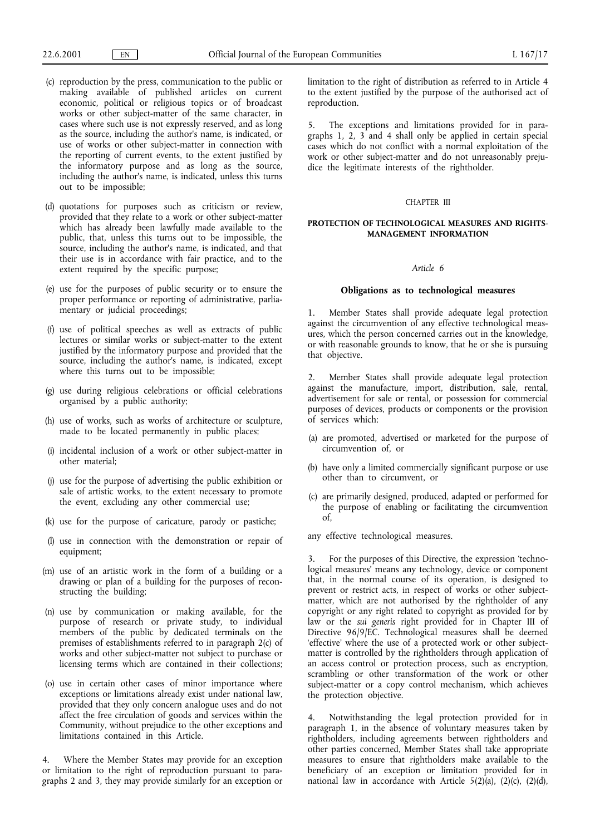- (c) reproduction by the press, communication to the public or making available of published articles on current economic, political or religious topics or of broadcast works or other subject-matter of the same character, in cases where such use is not expressly reserved, and as long as the source, including the author's name, is indicated, or use of works or other subject-matter in connection with the reporting of current events, to the extent justified by the informatory purpose and as long as the source, including the author's name, is indicated, unless this turns out to be impossible;
- (d) quotations for purposes such as criticism or review, provided that they relate to a work or other subject-matter which has already been lawfully made available to the public, that, unless this turns out to be impossible, the source, including the author's name, is indicated, and that their use is in accordance with fair practice, and to the extent required by the specific purpose;
- (e) use for the purposes of public security or to ensure the proper performance or reporting of administrative, parliamentary or judicial proceedings;
- (f) use of political speeches as well as extracts of public lectures or similar works or subject-matter to the extent justified by the informatory purpose and provided that the source, including the author's name, is indicated, except where this turns out to be impossible;
- (g) use during religious celebrations or official celebrations organised by a public authority;
- (h) use of works, such as works of architecture or sculpture, made to be located permanently in public places;
- (i) incidental inclusion of a work or other subject-matter in other material;
- (j) use for the purpose of advertising the public exhibition or sale of artistic works, to the extent necessary to promote the event, excluding any other commercial use;
- (k) use for the purpose of caricature, parody or pastiche;
- (l) use in connection with the demonstration or repair of equipment;
- (m) use of an artistic work in the form of a building or a drawing or plan of a building for the purposes of reconstructing the building;
- (n) use by communication or making available, for the purpose of research or private study, to individual members of the public by dedicated terminals on the premises of establishments referred to in paragraph 2(c) of works and other subject-matter not subject to purchase or licensing terms which are contained in their collections;
- (o) use in certain other cases of minor importance where exceptions or limitations already exist under national law, provided that they only concern analogue uses and do not affect the free circulation of goods and services within the Community, without prejudice to the other exceptions and limitations contained in this Article.

4. Where the Member States may provide for an exception or limitation to the right of reproduction pursuant to paragraphs 2 and 3, they may provide similarly for an exception or limitation to the right of distribution as referred to in Article 4 to the extent justified by the purpose of the authorised act of reproduction.

5. The exceptions and limitations provided for in paragraphs 1, 2, 3 and 4 shall only be applied in certain special cases which do not conflict with a normal exploitation of the work or other subject-matter and do not unreasonably prejudice the legitimate interests of the rightholder.

#### **CHAPTER III**

### **PROTECTION OF TECHNOLOGICAL MEASURES AND RIGHTS-MANAGEMENT INFORMATION**

#### *Article 6*

#### **Obligations as to technological measures**

1. Member States shall provide adequate legal protection against the circumvention of any effective technological measures, which the person concerned carries out in the knowledge, or with reasonable grounds to know, that he or she is pursuing that objective.

2. Member States shall provide adequate legal protection against the manufacture, import, distribution, sale, rental, advertisement for sale or rental, or possession for commercial purposes of devices, products or components or the provision of services which:

- (a) are promoted, advertised or marketed for the purpose of circumvention of, or
- (b) have only a limited commercially significant purpose or use other than to circumvent, or
- (c) are primarily designed, produced, adapted or performed for the purpose of enabling or facilitating the circumvention of,

any effective technological measures.

3. For the purposes of this Directive, the expression 'technological measures' means any technology, device or component that, in the normal course of its operation, is designed to prevent or restrict acts, in respect of works or other subjectmatter, which are not authorised by the rightholder of any copyright or any right related to copyright as provided for by law or the *sui generis* right provided for in Chapter III of Directive 96/9/EC. Technological measures shall be deemed 'effective' where the use of a protected work or other subjectmatter is controlled by the rightholders through application of an access control or protection process, such as encryption, scrambling or other transformation of the work or other subject-matter or a copy control mechanism, which achieves the protection objective.

4. Notwithstanding the legal protection provided for in paragraph 1, in the absence of voluntary measures taken by rightholders, including agreements between rightholders and other parties concerned, Member States shall take appropriate measures to ensure that rightholders make available to the beneficiary of an exception or limitation provided for in national law in accordance with Article  $5(2)(a)$ ,  $(2)(c)$ ,  $(2)(d)$ ,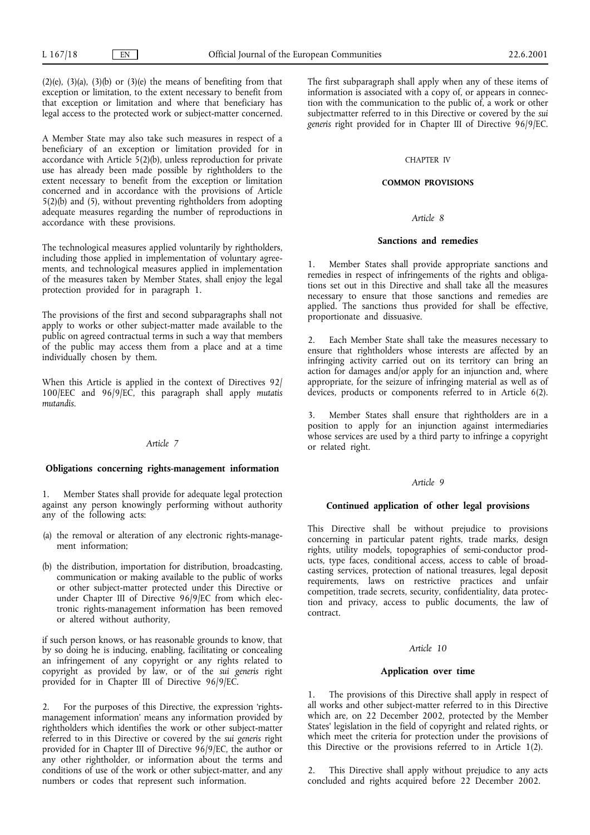$(2)(e)$ ,  $(3)(a)$ ,  $(3)(b)$  or  $(3)(e)$  the means of benefiting from that exception or limitation, to the extent necessary to benefit from that exception or limitation and where that beneficiary has legal access to the protected work or subject-matter concerned.

A Member State may also take such measures in respect of a beneficiary of an exception or limitation provided for in accordance with Article  $5(2)(b)$ , unless reproduction for private use has already been made possible by rightholders to the extent necessary to benefit from the exception or limitation concerned and in accordance with the provisions of Article 5(2)(b) and (5), without preventing rightholders from adopting adequate measures regarding the number of reproductions in accordance with these provisions.

The technological measures applied voluntarily by rightholders, including those applied in implementation of voluntary agreements, and technological measures applied in implementation of the measures taken by Member States, shall enjoy the legal protection provided for in paragraph 1.

The provisions of the first and second subparagraphs shall not apply to works or other subject-matter made available to the public on agreed contractual terms in such a way that members of the public may access them from a place and at a time individually chosen by them.

When this Article is applied in the context of Directives 92/ 100/EEC and 96/9/EC, this paragraph shall apply *mutatis mutandis*.

## *Article 7*

#### **Obligations concerning rights-management information**

1. Member States shall provide for adequate legal protection against any person knowingly performing without authority any of the following acts:

- (a) the removal or alteration of any electronic rights-management information;
- (b) the distribution, importation for distribution, broadcasting, communication or making available to the public of works or other subject-matter protected under this Directive or under Chapter III of Directive 96/9/EC from which electronic rights-management information has been removed or altered without authority,

if such person knows, or has reasonable grounds to know, that by so doing he is inducing, enabling, facilitating or concealing an infringement of any copyright or any rights related to copyright as provided by law, or of the *sui generis* right provided for in Chapter III of Directive 96/9/EC.

2. For the purposes of this Directive, the expression 'rightsmanagement information' means any information provided by rightholders which identifies the work or other subject-matter referred to in this Directive or covered by the *sui generis* right provided for in Chapter III of Directive 96/9/EC, the author or any other rightholder, or information about the terms and conditions of use of the work or other subject-matter, and any numbers or codes that represent such information.

The first subparagraph shall apply when any of these items of information is associated with a copy of, or appears in connection with the communication to the public of, a work or other subjectmatter referred to in this Directive or covered by the *sui generis* right provided for in Chapter III of Directive 96/9/EC.

# **CHAPTER IV**

#### **COMMON PROVISIONS**

### *Article 8*

#### **Sanctions and remedies**

1. Member States shall provide appropriate sanctions and remedies in respect of infringements of the rights and obligations set out in this Directive and shall take all the measures necessary to ensure that those sanctions and remedies are applied. The sanctions thus provided for shall be effective, proportionate and dissuasive.

2. Each Member State shall take the measures necessary to ensure that rightholders whose interests are affected by an infringing activity carried out on its territory can bring an action for damages and/or apply for an injunction and, where appropriate, for the seizure of infringing material as well as of devices, products or components referred to in Article 6(2).

3. Member States shall ensure that rightholders are in a position to apply for an injunction against intermediaries whose services are used by a third party to infringe a copyright or related right.

### *Article 9*

#### **Continued application of other legal provisions**

This Directive shall be without prejudice to provisions concerning in particular patent rights, trade marks, design rights, utility models, topographies of semi-conductor products, type faces, conditional access, access to cable of broadcasting services, protection of national treasures, legal deposit requirements, laws on restrictive practices and unfair competition, trade secrets, security, confidentiality, data protection and privacy, access to public documents, the law of contract.

#### *Article 10*

#### **Application over time**

The provisions of this Directive shall apply in respect of all works and other subject-matter referred to in this Directive which are, on 22 December 2002, protected by the Member States' legislation in the field of copyright and related rights, or which meet the criteria for protection under the provisions of this Directive or the provisions referred to in Article 1(2).

2. This Directive shall apply without prejudice to any acts concluded and rights acquired before 22 December 2002.